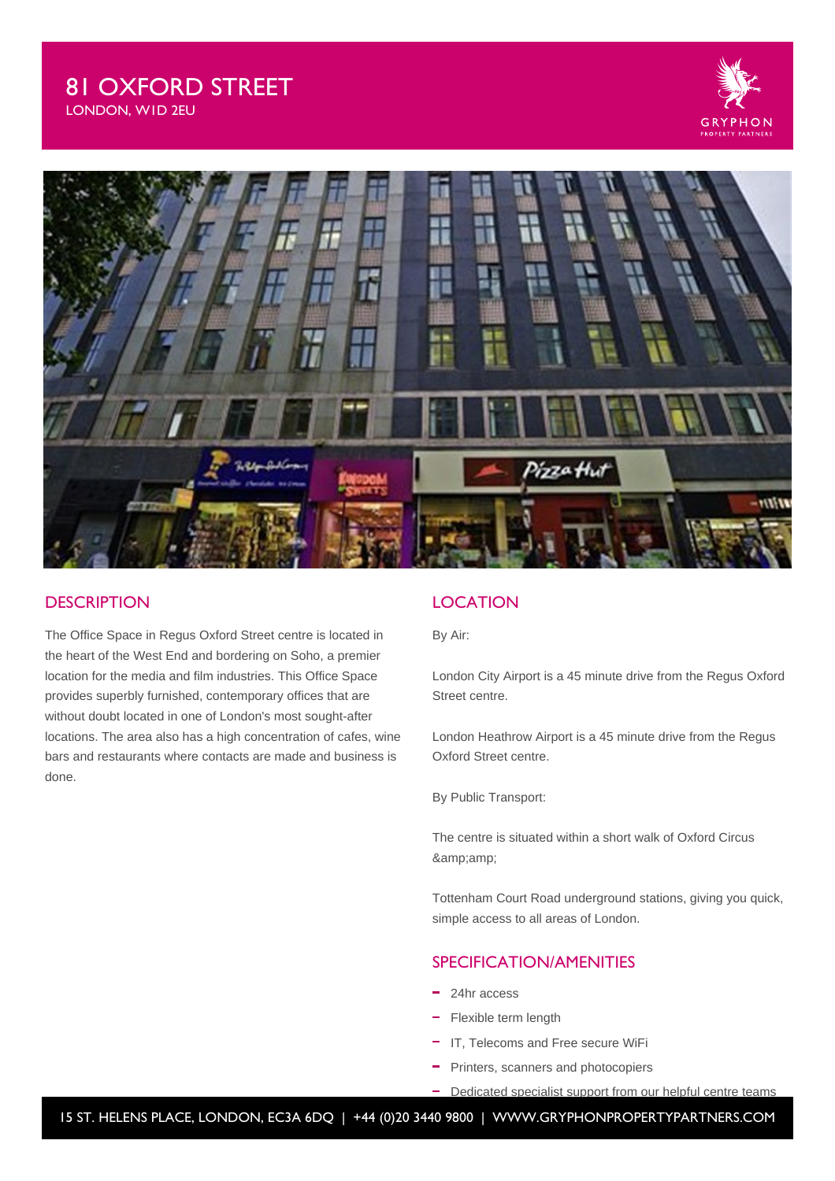



#### **DESCRIPTION**

The Office Space in Regus Oxford Street centre is located in the heart of the West End and bordering on Soho, a premier location for the media and film industries. This Office Space provides superbly furnished, contemporary offices that are without doubt located in one of London's most sought-after locations. The area also has a high concentration of cafes, wine bars and restaurants where contacts are made and business is done.

## **LOCATION**

By Air:

London City Airport is a 45 minute drive from the Regus Oxford Street centre.

London Heathrow Airport is a 45 minute drive from the Regus Oxford Street centre.

By Public Transport:

The centre is situated within a short walk of Oxford Circus &

Tottenham Court Road underground stations, giving you quick, simple access to all areas of London.

### SPECIFICATION/AMENITIES

- 24hr access
- Flexible term length
- IT, Telecoms and Free secure WiFi
- Printers, scanners and photocopiers
- Dedicated specialist support from our helpful centre teams